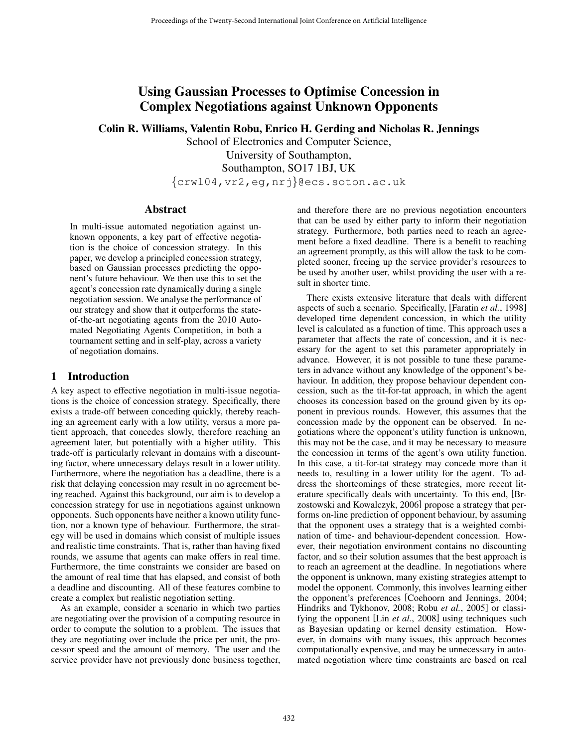# Using Gaussian Processes to Optimise Concession in Complex Negotiations against Unknown Opponents

Colin R. Williams, Valentin Robu, Enrico H. Gerding and Nicholas R. Jennings

School of Electronics and Computer Science, University of Southampton, Southampton, SO17 1BJ, UK {crw104,vr2,eg,nrj}@ecs.soton.ac.uk

## Abstract

In multi-issue automated negotiation against unknown opponents, a key part of effective negotiation is the choice of concession strategy. In this paper, we develop a principled concession strategy, based on Gaussian processes predicting the opponent's future behaviour. We then use this to set the agent's concession rate dynamically during a single negotiation session. We analyse the performance of our strategy and show that it outperforms the stateof-the-art negotiating agents from the 2010 Automated Negotiating Agents Competition, in both a tournament setting and in self-play, across a variety of negotiation domains.

## 1 Introduction

A key aspect to effective negotiation in multi-issue negotiations is the choice of concession strategy. Specifically, there exists a trade-off between conceding quickly, thereby reaching an agreement early with a low utility, versus a more patient approach, that concedes slowly, therefore reaching an agreement later, but potentially with a higher utility. This trade-off is particularly relevant in domains with a discounting factor, where unnecessary delays result in a lower utility. Furthermore, where the negotiation has a deadline, there is a risk that delaying concession may result in no agreement being reached. Against this background, our aim is to develop a concession strategy for use in negotiations against unknown opponents. Such opponents have neither a known utility function, nor a known type of behaviour. Furthermore, the strategy will be used in domains which consist of multiple issues and realistic time constraints. That is, rather than having fixed rounds, we assume that agents can make offers in real time. Furthermore, the time constraints we consider are based on the amount of real time that has elapsed, and consist of both a deadline and discounting. All of these features combine to create a complex but realistic negotiation setting.

As an example, consider a scenario in which two parties are negotiating over the provision of a computing resource in order to compute the solution to a problem. The issues that they are negotiating over include the price per unit, the processor speed and the amount of memory. The user and the service provider have not previously done business together, and therefore there are no previous negotiation encounters that can be used by either party to inform their negotiation strategy. Furthermore, both parties need to reach an agreement before a fixed deadline. There is a benefit to reaching an agreement promptly, as this will allow the task to be completed sooner, freeing up the service provider's resources to be used by another user, whilst providing the user with a result in shorter time.

There exists extensive literature that deals with different aspects of such a scenario. Specifically, [Faratin *et al.*, 1998] developed time dependent concession, in which the utility level is calculated as a function of time. This approach uses a parameter that affects the rate of concession, and it is necessary for the agent to set this parameter appropriately in advance. However, it is not possible to tune these parameters in advance without any knowledge of the opponent's behaviour. In addition, they propose behaviour dependent concession, such as the tit-for-tat approach, in which the agent chooses its concession based on the ground given by its opponent in previous rounds. However, this assumes that the concession made by the opponent can be observed. In negotiations where the opponent's utility function is unknown, this may not be the case, and it may be necessary to measure the concession in terms of the agent's own utility function. In this case, a tit-for-tat strategy may concede more than it needs to, resulting in a lower utility for the agent. To address the shortcomings of these strategies, more recent literature specifically deals with uncertainty. To this end, [Brzostowski and Kowalczyk, 2006] propose a strategy that performs on-line prediction of opponent behaviour, by assuming that the opponent uses a strategy that is a weighted combination of time- and behaviour-dependent concession. However, their negotiation environment contains no discounting factor, and so their solution assumes that the best approach is to reach an agreement at the deadline. In negotiations where the opponent is unknown, many existing strategies attempt to model the opponent. Commonly, this involves learning either the opponent's preferences [Coehoorn and Jennings, 2004; Hindriks and Tykhonov, 2008; Robu *et al.*, 2005] or classifying the opponent [Lin *et al.*, 2008] using techniques such as Bayesian updating or kernel density estimation. However, in domains with many issues, this approach becomes computationally expensive, and may be unnecessary in automated negotiation where time constraints are based on real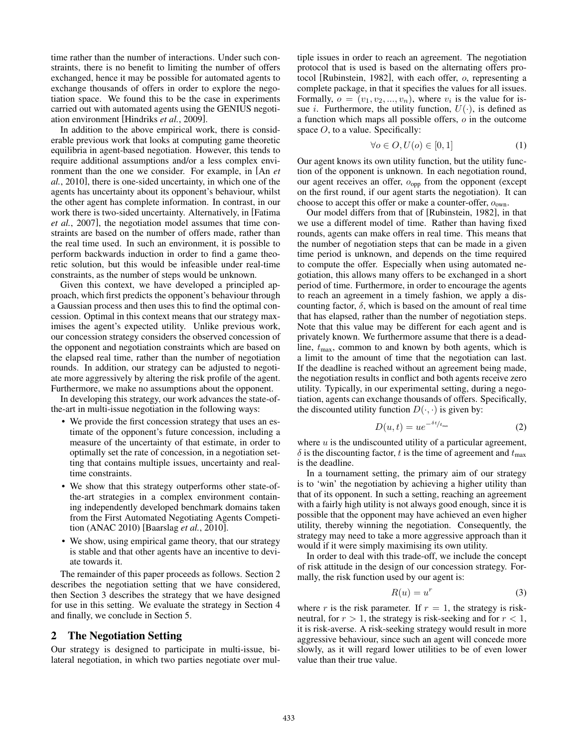time rather than the number of interactions. Under such constraints, there is no benefit to limiting the number of offers exchanged, hence it may be possible for automated agents to exchange thousands of offers in order to explore the negotiation space. We found this to be the case in experiments carried out with automated agents using the GENIUS negotiation environment [Hindriks *et al.*, 2009].

In addition to the above empirical work, there is considerable previous work that looks at computing game theoretic equilibria in agent-based negotiation. However, this tends to require additional assumptions and/or a less complex environment than the one we consider. For example, in [An *et al.*, 2010], there is one-sided uncertainty, in which one of the agents has uncertainty about its opponent's behaviour, whilst the other agent has complete information. In contrast, in our work there is two-sided uncertainty. Alternatively, in [Fatima *et al.*, 2007], the negotiation model assumes that time constraints are based on the number of offers made, rather than the real time used. In such an environment, it is possible to perform backwards induction in order to find a game theoretic solution, but this would be infeasible under real-time constraints, as the number of steps would be unknown.

Given this context, we have developed a principled approach, which first predicts the opponent's behaviour through a Gaussian process and then uses this to find the optimal concession. Optimal in this context means that our strategy maximises the agent's expected utility. Unlike previous work, our concession strategy considers the observed concession of the opponent and negotiation constraints which are based on the elapsed real time, rather than the number of negotiation rounds. In addition, our strategy can be adjusted to negotiate more aggressively by altering the risk profile of the agent. Furthermore, we make no assumptions about the opponent.

In developing this strategy, our work advances the state-ofthe-art in multi-issue negotiation in the following ways:

- We provide the first concession strategy that uses an estimate of the opponent's future concession, including a measure of the uncertainty of that estimate, in order to optimally set the rate of concession, in a negotiation setting that contains multiple issues, uncertainty and realtime constraints.
- We show that this strategy outperforms other state-ofthe-art strategies in a complex environment containing independently developed benchmark domains taken from the First Automated Negotiating Agents Competition (ANAC 2010) [Baarslag *et al.*, 2010].
- We show, using empirical game theory, that our strategy is stable and that other agents have an incentive to deviate towards it.

The remainder of this paper proceeds as follows. Section 2 describes the negotiation setting that we have considered, then Section 3 describes the strategy that we have designed for use in this setting. We evaluate the strategy in Section 4 and finally, we conclude in Section 5.

#### 2 The Negotiation Setting

Our strategy is designed to participate in multi-issue, bilateral negotiation, in which two parties negotiate over multiple issues in order to reach an agreement. The negotiation protocol that is used is based on the alternating offers protocol [Rubinstein, 1982], with each offer, o, representing a complete package, in that it specifies the values for all issues. Formally,  $o = (v_1, v_2, ..., v_n)$ , where  $v_i$  is the value for issue *i*. Furthermore, the utility function,  $U(\cdot)$ , is defined as a function which maps all possible offers, o in the outcome space  $O$ , to a value. Specifically:

$$
\forall o \in O, U(o) \in [0, 1] \tag{1}
$$

Our agent knows its own utility function, but the utility function of the opponent is unknown. In each negotiation round, our agent receives an offer,  $o_{opp}$  from the opponent (except on the first round, if our agent starts the negotiation). It can choose to accept this offer or make a counter-offer,  $o_{own}$ .

Our model differs from that of [Rubinstein, 1982], in that we use a different model of time. Rather than having fixed rounds, agents can make offers in real time. This means that the number of negotiation steps that can be made in a given time period is unknown, and depends on the time required to compute the offer. Especially when using automated negotiation, this allows many offers to be exchanged in a short period of time. Furthermore, in order to encourage the agents to reach an agreement in a timely fashion, we apply a discounting factor,  $\delta$ , which is based on the amount of real time that has elapsed, rather than the number of negotiation steps. Note that this value may be different for each agent and is privately known. We furthermore assume that there is a deadline,  $t_{\text{max}}$ , common to and known by both agents, which is a limit to the amount of time that the negotiation can last. If the deadline is reached without an agreement being made, the negotiation results in conflict and both agents receive zero utility. Typically, in our experimental setting, during a negotiation, agents can exchange thousands of offers. Specifically, the discounted utility function  $D(\cdot, \cdot)$  is given by:

$$
D(u,t) = u e^{-\delta t / t_{\text{max}}}
$$
 (2)

where  $u$  is the undiscounted utility of a particular agreement,  $\delta$  is the discounting factor, t is the time of agreement and  $t_{\text{max}}$ is the deadline.

In a tournament setting, the primary aim of our strategy is to 'win' the negotiation by achieving a higher utility than that of its opponent. In such a setting, reaching an agreement with a fairly high utility is not always good enough, since it is possible that the opponent may have achieved an even higher utility, thereby winning the negotiation. Consequently, the strategy may need to take a more aggressive approach than it would if it were simply maximising its own utility.

In order to deal with this trade-off, we include the concept of risk attitude in the design of our concession strategy. Formally, the risk function used by our agent is:

$$
R(u) = u^r \tag{3}
$$

where r is the risk parameter. If  $r = 1$ , the strategy is riskneutral, for  $r > 1$ , the strategy is risk-seeking and for  $r < 1$ , it is risk-averse. A risk-seeking strategy would result in more aggressive behaviour, since such an agent will concede more slowly, as it will regard lower utilities to be of even lower value than their true value.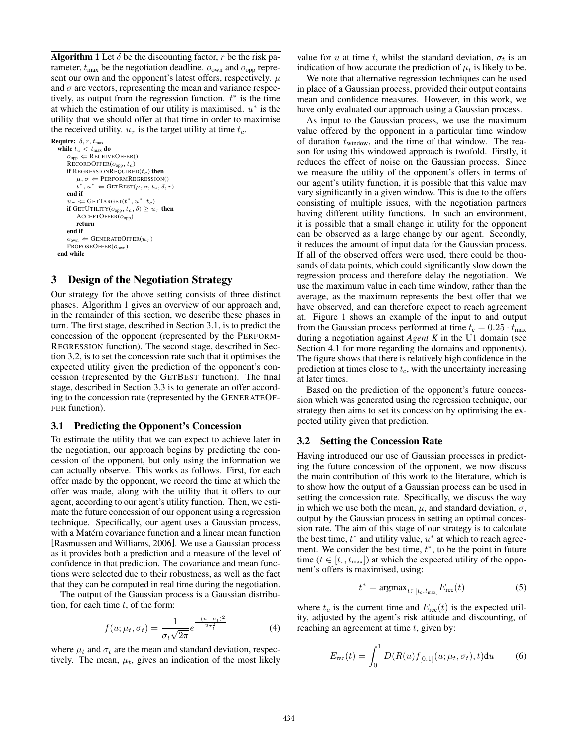**Algorithm 1** Let  $\delta$  be the discounting factor, r be the risk parameter,  $t_{\text{max}}$  be the negotiation deadline.  $o_{\text{own}}$  and  $o_{\text{opp}}$  represent our own and the opponent's latest offers, respectively.  $\mu$ and  $\sigma$  are vectors, representing the mean and variance respectively, as output from the regression function.  $t^*$  is the time at which the estimation of our utility is maximised.  $u^*$  is the utility that we should offer at that time in order to maximise the received utility.  $u_{\tau}$  is the target utility at time  $t_c$ .

## 3 Design of the Negotiation Strategy

Our strategy for the above setting consists of three distinct phases. Algorithm 1 gives an overview of our approach and, in the remainder of this section, we describe these phases in turn. The first stage, described in Section 3.1, is to predict the concession of the opponent (represented by the PERFORM-REGRESSION function). The second stage, described in Section 3.2, is to set the concession rate such that it optimises the expected utility given the prediction of the opponent's concession (represented by the GETBEST function). The final stage, described in Section 3.3 is to generate an offer according to the concession rate (represented by the GENERATEOF-FER function).

#### 3.1 Predicting the Opponent's Concession

To estimate the utility that we can expect to achieve later in the negotiation, our approach begins by predicting the concession of the opponent, but only using the information we can actually observe. This works as follows. First, for each offer made by the opponent, we record the time at which the offer was made, along with the utility that it offers to our agent, according to our agent's utility function. Then, we estimate the future concession of our opponent using a regression technique. Specifically, our agent uses a Gaussian process, with a Matérn covariance function and a linear mean function [Rasmussen and Williams, 2006]. We use a Gaussian process as it provides both a prediction and a measure of the level of confidence in that prediction. The covariance and mean functions were selected due to their robustness, as well as the fact that they can be computed in real time during the negotiation.

The output of the Gaussian process is a Gaussian distribution, for each time  $t$ , of the form:

$$
f(u; \mu_t, \sigma_t) = \frac{1}{\sigma_t \sqrt{2\pi}} e^{\frac{-(u-\mu_t)^2}{2\sigma_t^2}}
$$
(4)

where  $\mu_t$  and  $\sigma_t$  are the mean and standard deviation, respectively. The mean,  $\mu_t$ , gives an indication of the most likely value for u at time t, whilst the standard deviation,  $\sigma_t$  is an indication of how accurate the prediction of  $\mu_t$  is likely to be.

We note that alternative regression techniques can be used in place of a Gaussian process, provided their output contains mean and confidence measures. However, in this work, we have only evaluated our approach using a Gaussian process.

As input to the Gaussian process, we use the maximum value offered by the opponent in a particular time window of duration  $t_{window}$ , and the time of that window. The reason for using this windowed approach is twofold. Firstly, it reduces the effect of noise on the Gaussian process. Since we measure the utility of the opponent's offers in terms of our agent's utility function, it is possible that this value may vary significantly in a given window. This is due to the offers consisting of multiple issues, with the negotiation partners having different utility functions. In such an environment, it is possible that a small change in utility for the opponent can be observed as a large change by our agent. Secondly, it reduces the amount of input data for the Gaussian process. If all of the observed offers were used, there could be thousands of data points, which could significantly slow down the regression process and therefore delay the negotiation. We use the maximum value in each time window, rather than the average, as the maximum represents the best offer that we have observed, and can therefore expect to reach agreement at. Figure 1 shows an example of the input to and output from the Gaussian process performed at time  $t_c = 0.25 \cdot t_{\text{max}}$ during a negotiation against *Agent K* in the U1 domain (see Section 4.1 for more regarding the domains and opponents). The figure shows that there is relatively high confidence in the prediction at times close to  $t_c$ , with the uncertainty increasing at later times.

Based on the prediction of the opponent's future concession which was generated using the regression technique, our strategy then aims to set its concession by optimising the expected utility given that prediction.

#### 3.2 Setting the Concession Rate

Having introduced our use of Gaussian processes in predicting the future concession of the opponent, we now discuss the main contribution of this work to the literature, which is to show how the output of a Gaussian process can be used in setting the concession rate. Specifically, we discuss the way in which we use both the mean,  $\mu$ , and standard deviation,  $\sigma$ , output by the Gaussian process in setting an optimal concession rate. The aim of this stage of our strategy is to calculate the best time,  $t^*$  and utility value,  $u^*$  at which to reach agreement. We consider the best time,  $t^*$ , to be the point in future time ( $t \in [t_c, t_{max}]$ ) at which the expected utility of the opponent's offers is maximised, using:

$$
t^* = \operatorname{argmax}_{t \in [t_c, t_{\text{max}}]} E_{\text{rec}}(t) \tag{5}
$$

where  $t_c$  is the current time and  $E_{\text{rec}}(t)$  is the expected utility, adjusted by the agent's risk attitude and discounting, of reaching an agreement at time  $t$ , given by:

$$
E_{\rm rec}(t) = \int_0^1 D(R(u)f_{[0,1]}(u;\mu_t,\sigma_t),t) \mathrm{d}u \tag{6}
$$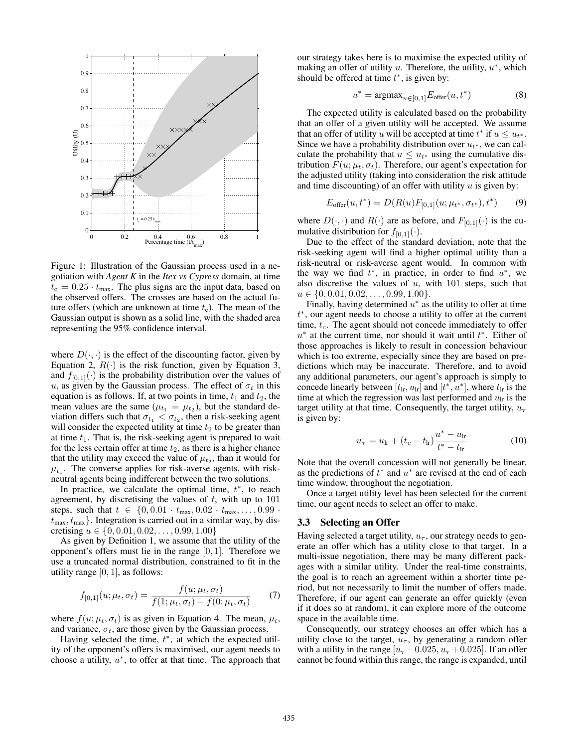

Figure 1: Illustration of the Gaussian process used in a negotiation with *Agent K* in the *Itex vs Cypress* domain, at time  $t_c = 0.25 \cdot t_{\text{max}}$ . The plus signs are the input data, based on the observed offers. The crosses are based on the actual future offers (which are unknown at time  $t_c$ ). The mean of the Gaussian output is shown as a solid line, with the shaded area representing the 95% confidence interval.

where  $D(\cdot, \cdot)$  is the effect of the discounting factor, given by Equation 2,  $R(\cdot)$  is the risk function, given by Equation 3, and  $f_{[0,1]}(\cdot)$  is the probability distribution over the values of u, as given by the Gaussian process. The effect of  $\sigma_t$  in this equation is as follows. If, at two points in time,  $t_1$  and  $t_2$ , the mean values are the same ( $\mu_{t_1} = \mu_{t_2}$ ), but the standard deviation differs such that  $\sigma_{t_1} < \sigma_{t_2}$ , then a risk-seeking agent will consider the expected utility at time  $t_2$  to be greater than at time  $t_1$ . That is, the risk-seeking agent is prepared to wait for the less certain offer at time  $t_2$ , as there is a higher chance that the utility may exceed the value of  $\mu_{t_2}$ , than it would for  $\mu_{t_1}$ . The converse applies for risk-averse agents, with riskneutral agents being indifferent between the two solutions.

In practice, we calculate the optimal time,  $t^*$ , to reach agreement, by discretising the values of  $t$ , with up to  $101$ steps, such that  $t \in \{0, 0.01 \cdot t_{\text{max}}, 0.02 \cdot t_{\text{max}}, \ldots, 0.99 \cdot t_{\text{max}}\}$  $t_{\text{max}}, t_{\text{max}}$ . Integration is carried out in a similar way, by discretising  $u \in \{0, 0.01, 0.02, \ldots, 0.99, 1.00\}$ 

As given by Definition 1, we assume that the utility of the opponent's offers must lie in the range  $[0, 1]$ . Therefore we use a truncated normal distribution, constrained to fit in the utility range  $[0, 1]$ , as follows:

$$
f_{[0,1]}(u; \mu_t, \sigma_t) = \frac{f(u; \mu_t, \sigma_t)}{f(1; \mu_t, \sigma_t) - f(0; \mu_t, \sigma_t)} \tag{7}
$$

where  $f(u; \mu_t, \sigma_t)$  is as given in Equation 4. The mean,  $\mu_t$ , and variance,  $\sigma_t$ , are those given by the Gaussian process.

Having selected the time,  $t^*$ , at which the expected utility of the opponent's offers is maximised, our agent needs to choose a utility,  $u^*$ , to offer at that time. The approach that our strategy takes here is to maximise the expected utility of making an offer of utility  $u$ . Therefore, the utility,  $u^*$ , which should be offered at time  $t^*$ , is given by:

$$
u^* = \operatorname{argmax}_{u \in [0,1]} E_{\text{offer}}(u, t^*)
$$
 (8)

The expected utility is calculated based on the probability that an offer of a given utility will be accepted. We assume that an offer of utility u will be accepted at time  $t^*$  if  $u \leq u_{t^*}$ . Since we have a probability distribution over  $u_{t^*}$ , we can calculate the probability that  $u \leq u_{t*}$  using the cumulative distribution  $F(u; \mu_t, \sigma_t)$ . Therefore, our agent's expectation for the adjusted utility (taking into consideration the risk attitude and time discounting) of an offer with utility  $u$  is given by:

$$
E_{\text{offer}}(u, t^*) = D(R(u)F_{[0,1]}(u; \mu_{t^*}, \sigma_{t^*}), t^*)
$$
(9)

where  $D(\cdot, \cdot)$  and  $R(\cdot)$  are as before, and  $F_{[0,1]}(\cdot)$  is the cumulative distribution for  $f_{[0,1]}(\cdot)$ .

Due to the effect of the standard deviation, note that the risk-seeking agent will find a higher optimal utility than a risk-neutral or risk-averse agent would. In common with the way we find  $t^*$ , in practice, in order to find  $u^*$ , we also discretise the values of  $u$ , with 101 steps, such that  $u \in \{0, 0.01, 0.02, \ldots, 0.99, 1.00\}.$ 

Finally, having determined  $u^*$  as the utility to offer at time t <sup>∗</sup>, our agent needs to choose a utility to offer at the current time,  $t_c$ . The agent should not concede immediately to offer  $u^*$  at the current time, nor should it wait until  $t^*$ . Either of those approaches is likely to result in concession behaviour which is too extreme, especially since they are based on predictions which may be inaccurate. Therefore, and to avoid any additional parameters, our agent's approach is simply to concede linearly between  $[t_{lr}, u_{lr}]$  and  $[t^*, u^*]$ , where  $t_{lr}$  is the time at which the regression was last performed and  $u_{\text{lr}}$  is the target utility at that time. Consequently, the target utility,  $u_{\tau}$ is given by:

$$
u_{\tau} = u_{\text{lr}} + (t_c - t_{\text{lr}}) \frac{u^* - u_{\text{lr}}}{t^* - t_{\text{lr}}}
$$
 (10)

Note that the overall concession will not generally be linear, as the predictions of  $t^*$  and  $u^*$  are revised at the end of each time window, throughout the negotiation.

Once a target utility level has been selected for the current time, our agent needs to select an offer to make.

#### 3.3 Selecting an Offer

Having selected a target utility,  $u_{\tau}$ , our strategy needs to generate an offer which has a utility close to that target. In a multi-issue negotiation, there may be many different packages with a similar utility. Under the real-time constraints, the goal is to reach an agreement within a shorter time period, but not necessarily to limit the number of offers made. Therefore, if our agent can generate an offer quickly (even if it does so at random), it can explore more of the outcome space in the available time.

Consequently, our strategy chooses an offer which has a utility close to the target,  $u_{\tau}$ , by generating a random offer with a utility in the range  $[u_\tau - 0.025, u_\tau + 0.025]$ . If an offer cannot be found within this range, the range is expanded, until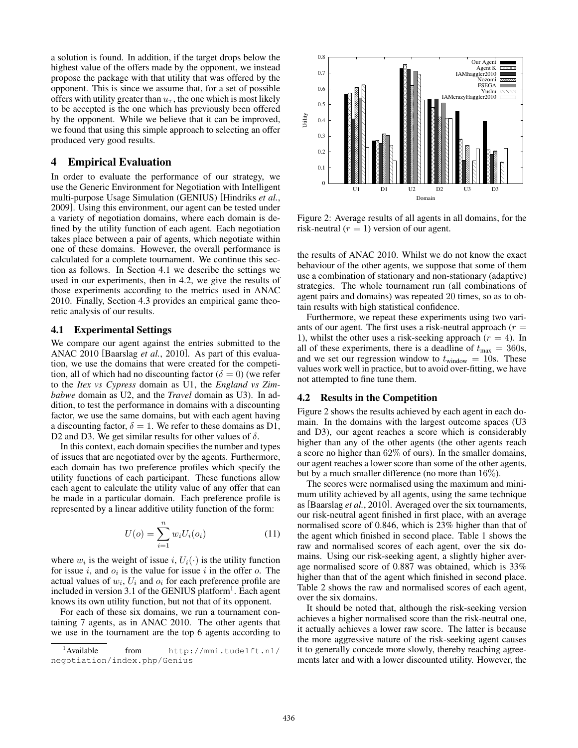a solution is found. In addition, if the target drops below the highest value of the offers made by the opponent, we instead propose the package with that utility that was offered by the opponent. This is since we assume that, for a set of possible offers with utility greater than  $u_{\tau}$ , the one which is most likely to be accepted is the one which has previously been offered by the opponent. While we believe that it can be improved, we found that using this simple approach to selecting an offer produced very good results.

## 4 Empirical Evaluation

In order to evaluate the performance of our strategy, we use the Generic Environment for Negotiation with Intelligent multi-purpose Usage Simulation (GENIUS) [Hindriks *et al.*, 2009]. Using this environment, our agent can be tested under a variety of negotiation domains, where each domain is defined by the utility function of each agent. Each negotiation takes place between a pair of agents, which negotiate within one of these domains. However, the overall performance is calculated for a complete tournament. We continue this section as follows. In Section 4.1 we describe the settings we used in our experiments, then in 4.2, we give the results of those experiments according to the metrics used in ANAC 2010. Finally, Section 4.3 provides an empirical game theoretic analysis of our results.

#### 4.1 Experimental Settings

We compare our agent against the entries submitted to the ANAC 2010 [Baarslag *et al.*, 2010]. As part of this evaluation, we use the domains that were created for the competition, all of which had no discounting factor ( $\delta = 0$ ) (we refer to the *Itex vs Cypress* domain as U1, the *England vs Zimbabwe* domain as U2, and the *Travel* domain as U3). In addition, to test the performance in domains with a discounting factor, we use the same domains, but with each agent having a discounting factor,  $\delta = 1$ . We refer to these domains as D1, D2 and D3. We get similar results for other values of  $\delta$ .

In this context, each domain specifies the number and types of issues that are negotiated over by the agents. Furthermore, each domain has two preference profiles which specify the utility functions of each participant. These functions allow each agent to calculate the utility value of any offer that can be made in a particular domain. Each preference profile is represented by a linear additive utility function of the form:

$$
U(o) = \sum_{i=1}^{n} w_i U_i(o_i)
$$
 (11)

where  $w_i$  is the weight of issue i,  $U_i(\cdot)$  is the utility function for issue i, and  $o_i$  is the value for issue i in the offer o. The actual values of  $w_i$ ,  $U_i$  and  $o_i$  for each preference profile are included in version 3.1 of the GENIUS platform<sup>1</sup>. Each agent knows its own utility function, but not that of its opponent.

For each of these six domains, we run a tournament containing 7 agents, as in ANAC 2010. The other agents that we use in the tournament are the top 6 agents according to



Figure 2: Average results of all agents in all domains, for the risk-neutral  $(r = 1)$  version of our agent.

the results of ANAC 2010. Whilst we do not know the exact behaviour of the other agents, we suppose that some of them use a combination of stationary and non-stationary (adaptive) strategies. The whole tournament run (all combinations of agent pairs and domains) was repeated 20 times, so as to obtain results with high statistical confidence.

Furthermore, we repeat these experiments using two variants of our agent. The first uses a risk-neutral approach  $(r =$ 1), whilst the other uses a risk-seeking approach  $(r = 4)$ . In all of these experiments, there is a deadline of  $t_{\text{max}} = 360$ s, and we set our regression window to  $t_{window} = 10$ s. These values work well in practice, but to avoid over-fitting, we have not attempted to fine tune them.

#### 4.2 Results in the Competition

Figure 2 shows the results achieved by each agent in each domain. In the domains with the largest outcome spaces (U3 and D3), our agent reaches a score which is considerably higher than any of the other agents (the other agents reach a score no higher than 62% of ours). In the smaller domains, our agent reaches a lower score than some of the other agents, but by a much smaller difference (no more than 16%).

The scores were normalised using the maximum and minimum utility achieved by all agents, using the same technique as [Baarslag *et al.*, 2010]. Averaged over the six tournaments, our risk-neutral agent finished in first place, with an average normalised score of 0.846, which is 23% higher than that of the agent which finished in second place. Table 1 shows the raw and normalised scores of each agent, over the six domains. Using our risk-seeking agent, a slightly higher average normalised score of 0.887 was obtained, which is 33% higher than that of the agent which finished in second place. Table 2 shows the raw and normalised scores of each agent, over the six domains.

It should be noted that, although the risk-seeking version achieves a higher normalised score than the risk-neutral one, it actually achieves a lower raw score. The latter is because the more aggressive nature of the risk-seeking agent causes it to generally concede more slowly, thereby reaching agreements later and with a lower discounted utility. However, the

 $<sup>1</sup>$ Available</sup> from http://mmi.tudelft.nl/ negotiation/index.php/Genius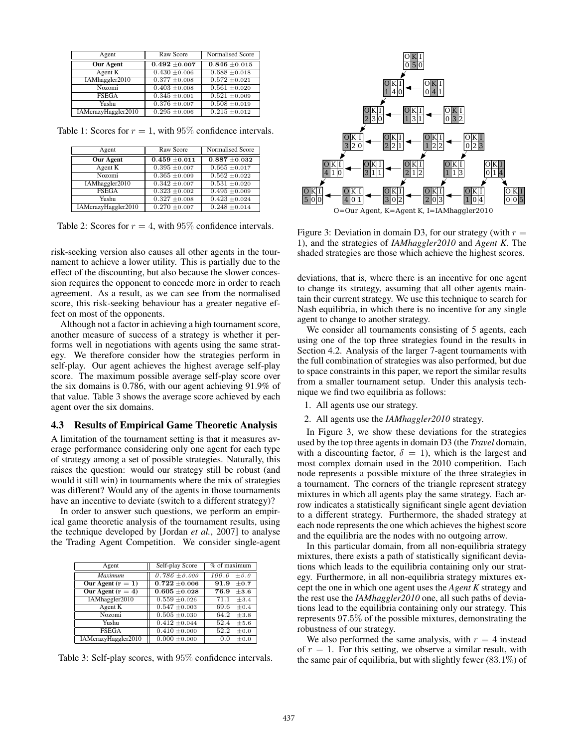| Agent               | Raw Score         | Normalised Score  |
|---------------------|-------------------|-------------------|
| <b>Our Agent</b>    | $0.492 \pm 0.007$ | $0.846 + 0.015$   |
| Agent K             | $0.430 \pm 0.006$ | $0.688 \pm 0.018$ |
| IAMhaggler2010      | $0.377 \pm 0.008$ | $0.572 \pm 0.021$ |
| Nozomi              | $0.403 \pm 0.008$ | $0.561 \pm 0.020$ |
| <b>FSEGA</b>        | $0.345 \pm 0.001$ | $0.521 \pm 0.009$ |
| Yushu               | $0.376 \pm 0.007$ | $0.508 + 0.019$   |
| IAMcrazyHaggler2010 | $0.295 \pm 0.006$ | $0.215 + 0.012$   |

Table 1: Scores for  $r = 1$ , with 95% confidence intervals.

| Agent               | Raw Score         | Normalised Score             |
|---------------------|-------------------|------------------------------|
| <b>Our Agent</b>    | $0.459 \pm 0.011$ | $0.887 + 0.032$              |
| Agent K             | $0.395 + 0.007$   | $0.665 + 0.017$              |
| Nozomi              | $0.365 \pm 0.009$ | $0.562 \pm 0.022$            |
| IAMhaggler2010      | $0.342 \pm 0.007$ | $\overline{0.531}$ ± 0.020   |
| <b>FSEGA</b>        | $0.323 \pm 0.002$ | $0.495 + 0.009$              |
| Yushu               | $0.327 + 0.008$   | $\overline{0.423 \pm 0.024}$ |
| IAMcrazyHaggler2010 | $0.270 \pm 0.007$ | $0.248 \pm 0.014$            |

Table 2: Scores for  $r = 4$ , with 95% confidence intervals.

risk-seeking version also causes all other agents in the tournament to achieve a lower utility. This is partially due to the effect of the discounting, but also because the slower concession requires the opponent to concede more in order to reach agreement. As a result, as we can see from the normalised score, this risk-seeking behaviour has a greater negative effect on most of the opponents.

Although not a factor in achieving a high tournament score, another measure of success of a strategy is whether it performs well in negotiations with agents using the same strategy. We therefore consider how the strategies perform in self-play. Our agent achieves the highest average self-play score. The maximum possible average self-play score over the six domains is 0.786, with our agent achieving 91.9% of that value. Table 3 shows the average score achieved by each agent over the six domains.

#### 4.3 Results of Empirical Game Theoretic Analysis

A limitation of the tournament setting is that it measures average performance considering only one agent for each type of strategy among a set of possible strategies. Naturally, this raises the question: would our strategy still be robust (and would it still win) in tournaments where the mix of strategies was different? Would any of the agents in those tournaments have an incentive to deviate (switch to a different strategy)?

In order to answer such questions, we perform an empirical game theoretic analysis of the tournament results, using the technique developed by [Jordan *et al.*, 2007] to analyse the Trading Agent Competition. We consider single-agent

| Agent               | Self-play Score   | $%$ of maximum     |
|---------------------|-------------------|--------------------|
| <b>Maximum</b>      | $0.786 \pm 0.000$ | 100.0<br>$\pm 0.0$ |
| Our Agent $(r = 1)$ | $0.722 + 0.006$   | 91.9<br>$\pm 0.7$  |
| Our Agent $(r = 4)$ | $0.605 + 0.028$   | 76.9<br>$\pm 3.6$  |
| IAMhaggler2010      | $0.559 + 0.026$   | 71.1<br>$\pm 3.4$  |
| Agent K             | $0.547 + 0.003$   | 69.6<br>$\pm 0.4$  |
| Nozomi              | $0.505 \pm 0.030$ | 64.2<br>$\pm 3.8$  |
| Yushu               | $0.412 \pm 0.044$ | 52.4<br>$\pm 5.6$  |
| <b>FSEGA</b>        | $0.410 \pm 0.000$ | 52.2<br>$\pm 0.0$  |
| IAMcrazyHaggler2010 | $0.000 \pm 0.000$ | $\pm 0.0$<br>0.0   |

Table 3: Self-play scores, with 95% confidence intervals.



O=Our Agent, K=Agent K, I=IAMhaggler2010

Figure 3: Deviation in domain D3, for our strategy (with  $r =$ 1), and the strategies of *IAMhaggler2010* and *Agent K*. The shaded strategies are those which achieve the highest scores.

deviations, that is, where there is an incentive for one agent to change its strategy, assuming that all other agents maintain their current strategy. We use this technique to search for Nash equilibria, in which there is no incentive for any single agent to change to another strategy.

We consider all tournaments consisting of 5 agents, each using one of the top three strategies found in the results in Section 4.2. Analysis of the larger 7-agent tournaments with the full combination of strategies was also performed, but due to space constraints in this paper, we report the similar results from a smaller tournament setup. Under this analysis technique we find two equilibria as follows:

- 1. All agents use our strategy.
- 2. All agents use the *IAMhaggler2010* strategy.

In Figure 3, we show these deviations for the strategies used by the top three agents in domain D3 (the *Travel* domain, with a discounting factor,  $\delta = 1$ ), which is the largest and most complex domain used in the 2010 competition. Each node represents a possible mixture of the three strategies in a tournament. The corners of the triangle represent strategy mixtures in which all agents play the same strategy. Each arrow indicates a statistically significant single agent deviation to a different strategy. Furthermore, the shaded strategy at each node represents the one which achieves the highest score and the equilibria are the nodes with no outgoing arrow.

In this particular domain, from all non-equilibria strategy mixtures, there exists a path of statistically significant deviations which leads to the equilibria containing only our strategy. Furthermore, in all non-equilibria strategy mixtures except the one in which one agent uses the *Agent K* strategy and the rest use the *IAMhaggler2010* one, all such paths of deviations lead to the equilibria containing only our strategy. This represents 97.5% of the possible mixtures, demonstrating the robustness of our strategy.

We also performed the same analysis, with  $r = 4$  instead of  $r = 1$ . For this setting, we observe a similar result, with the same pair of equilibria, but with slightly fewer  $(83.1\%)$  of